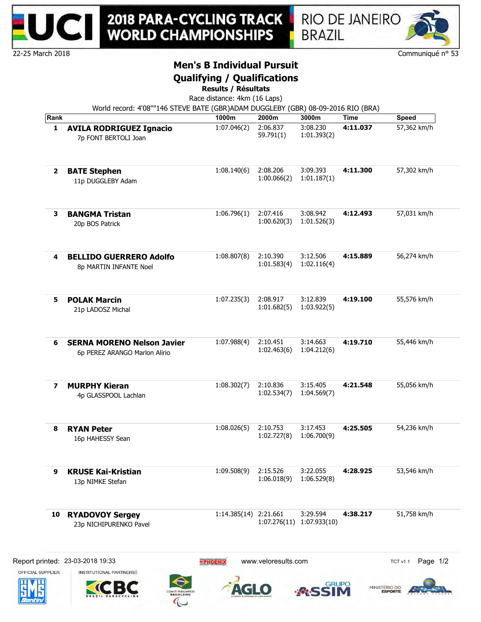



## **Men's B Individual Pursuit**

### **Qualifying / Qualifications**

**Results / Résultats**

Race distance: 4km (16 Laps)

World record: 4'08""146 STEVE BATE (GBR)ADAM DUGGLEBY (GBR) 08-09-2016 RIO (BRA)

| Rank |                                                                    | 1000m                 | 2000m                   | 3000m                                 | <b>Time</b> | <b>Speed</b> |
|------|--------------------------------------------------------------------|-----------------------|-------------------------|---------------------------------------|-------------|--------------|
| 1    | <b>AVILA RODRIGUEZ Ignacio</b><br>7p FONT BERTOLI Joan             | 1:07.046(2)           | 2:06.837<br>59.791(1)   | 3:08.230<br>1:01.393(2)               | 4:11.037    | 57,362 km/h  |
| 2    | <b>BATE Stephen</b><br>11p DUGGLEBY Adam                           | 1:08.140(6)           | 2:08.206<br>1:00.066(2) | 3:09.393<br>1:01.187(1)               | 4:11.300    | 57,302 km/h  |
| з    | <b>BANGMA Tristan</b><br>20p BOS Patrick                           | 1:06.796(1)           | 2:07.416<br>1:00.620(3) | 3:08.942<br>1:01.526(3)               | 4:12.493    | 57,031 km/h  |
| 4    | <b>BELLIDO GUERRERO Adolfo</b><br>8p MARTIN INFANTE Noel           | 1:08.807(8)           | 2:10.390<br>1:01.583(4) | 3:12.506<br>1:02.116(4)               | 4:15.889    | 56,274 km/h  |
| 5.   | <b>POLAK Marcin</b><br>21p LADOSZ Michal                           | 1:07.235(3)           | 2:08.917<br>1:01.682(5) | 3:12.839<br>1:03.922(5)               | 4:19.100    | 55,576 km/h  |
| 6    | <b>SERNA MORENO Nelson Javier</b><br>6p PEREZ ARANGO Marlon Alirio | 1:07.988(4)           | 2:10.451<br>1:02.463(6) | 3:14.663<br>1:04.212(6)               | 4:19.710    | 55,446 km/h  |
| 7    | <b>MURPHY Kieran</b><br>4p GLASSPOOL Lachlan                       | 1:08.302(7)           | 2:10.836<br>1:02.534(7) | 3:15.405<br>1:04.569(7)               | 4:21.548    | 55,056 km/h  |
| 8    | <b>RYAN Peter</b><br>16p HAHESSY Sean                              | 1:08.026(5)           | 2:10.753<br>1:02.727(8) | 3:17.453<br>1:06.700(9)               | 4:25.505    | 54,236 km/h  |
| 9    | <b>KRUSE Kai-Kristian</b><br>13p NIMKE Stefan                      | 1:09.508(9)           | 2:15.526<br>1:06.018(9) | 3:22.055<br>1:06.529(8)               | 4:28.925    | 53,546 km/h  |
| 10   | <b>RYADOVOY Sergey</b>                                             | 1:14.385(14) 2:21.661 |                         | 3:29.594<br>1:07.276(11) 1:07.933(10) | 4:38.217    | 51,758 km/h  |











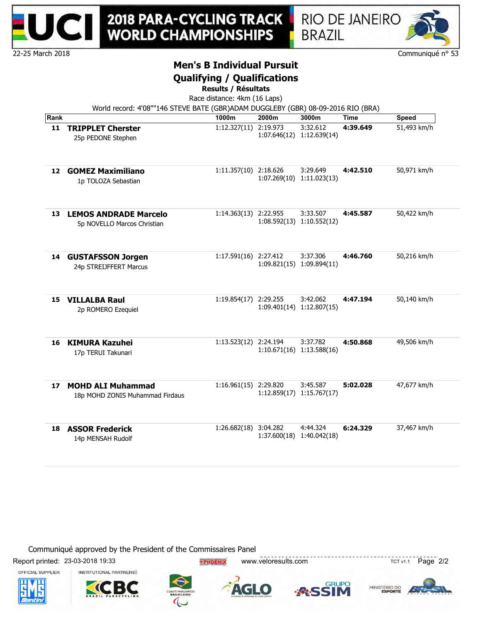



# **Men's B Individual Pursuit**

### **Qualifying / Qualifications**

**Results / Résultats**

Race distance: 4km (16 Laps)

| Rank |                                                             | 1000m                 | 2000m    | 3000m                                 | Time     | Speed       |
|------|-------------------------------------------------------------|-----------------------|----------|---------------------------------------|----------|-------------|
| 11   | <b>TRIPPLET Cherster</b><br>25p PEDONE Stephen              | 1:12.327(11)          | 2:19.973 | 3:32.612<br>1:07.646(12) 1:12.639(14) | 4:39.649 | 51,493 km/h |
| 12   | <b>GOMEZ Maximiliano</b><br>1p TOLOZA Sebastian             | 1:11.357(10) 2:18.626 |          | 3:29.649<br>1:07.269(10) 1:11.023(13) | 4:42.510 | 50,971 km/h |
| 13   | <b>LEMOS ANDRADE Marcelo</b><br>5p NOVELLO Marcos Christian | 1:14.363(13) 2:22.955 |          | 3:33.507<br>1:08.592(13) 1:10.552(12) | 4:45.587 | 50,422 km/h |
| 14   | <b>GUSTAFSSON Jorgen</b><br>24p STREIJFFERT Marcus          | 1:17.591(16) 2:27.412 |          | 3:37.306<br>1:09.821(15) 1:09.894(11) | 4:46.760 | 50,216 km/h |
| 15   | <b>VILLALBA Raul</b><br>2p ROMERO Ezequiel                  | 1:19.854(17)          | 2:29.255 | 3:42.062<br>1:09.401(14) 1:12.807(15) | 4:47.194 | 50,140 km/h |
| 16   | <b>KIMURA Kazuhei</b><br>17p TERUI Takunari                 | 1:13.523(12) 2:24.194 |          | 3:37.782<br>1:10.671(16) 1:13.588(16) | 4:50.868 | 49,506 km/h |
| 17   | <b>MOHD ALI Muhammad</b><br>18p MOHD ZONIS Muhammad Firdaus | 1:16.961(15) 2:29.820 |          | 3:45.587<br>1:12.859(17) 1:15.767(17) | 5:02.028 | 47,677 km/h |
| 18   | <b>ASSOR Frederick</b><br>14p MENSAH Rudolf                 | 1:26.682(18) 3:04.282 |          | 4:44.324<br>1:37.600(18) 1:40.042(18) | 6:24.329 | 37,467 km/h |

Communiqué approved by the President of the Commissaires Panel

Report printed: 23-03-2018 19:33 **EXECUTE: THORNIX** www.veloresults.com TCT v1.1 Page 2/2

OFFICIAL SUPPLIER









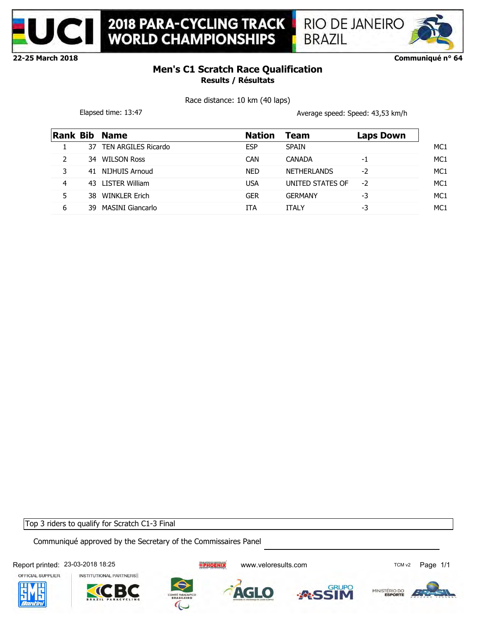



**Communiqué n° 64**

# **Men's C1 Scratch Race Qualification Results / Résultats**

Race distance: 10 km (40 laps)

Elapsed time: 13:47 **Average speed: Speed: 43,53 km/h** 

| <b>Rank Bib</b> |     | <b>Name</b>          | <b>Nation</b> | Team               | <b>Laps Down</b> |
|-----------------|-----|----------------------|---------------|--------------------|------------------|
|                 | 37  | TEN ARGILES Ricardo  | <b>ESP</b>    | <b>SPAIN</b>       |                  |
|                 | 34. | <b>WILSON Ross</b>   | <b>CAN</b>    | CANADA             | -1               |
| 3               |     | 41 NIJHUIS Arnoud    | <b>NED</b>    | <b>NETHERLANDS</b> | -2               |
| 4               |     | 43 LISTER William    | <b>USA</b>    | UNITED STATES OF   | $-2$             |
| 5               | 38  | <b>WINKLER Erich</b> | <b>GER</b>    | <b>GERMANY</b>     | -3               |
| 6               | 39  | MASINI Giancarlo     | ITA           | <b>ITALY</b>       | -3               |
|                 |     |                      |               |                    |                  |

Top 3 riders to qualify for Scratch C1-3 Final

Communiqué approved by the Secretary of the Commissaires Panel

Report printed: 23-03-2018 18:25 <br> **EPHOENIX** www.veloresults.com **TCM V2** Page 1/1

OFFICIAL SUPPLIER

INSTITUTIONAL PARTNERS



AGLO

**RUPO** 

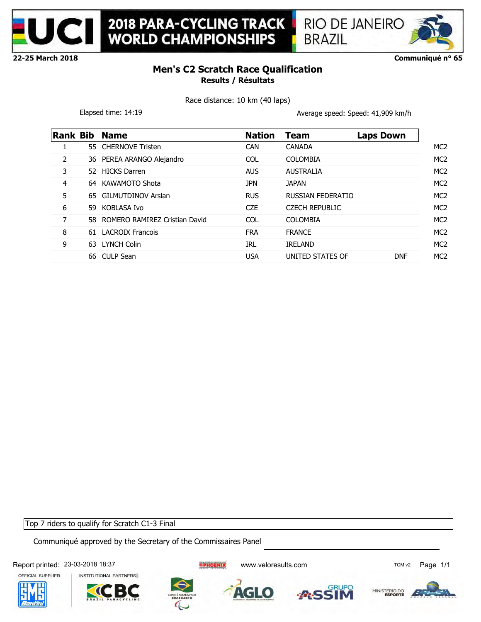



**Communiqué n° 65**

# **Men's C2 Scratch Race Qualification Results / Résultats**

Race distance: 10 km (40 laps)

Elapsed time: 14:19 **Average speed: Speed: 41,909 km/h** 

|   |     | <b>Rank Bib Name</b>             | <b>Nation</b>    | Team                     | <b>Laps Down</b> |
|---|-----|----------------------------------|------------------|--------------------------|------------------|
| 1 |     | 55 CHERNOVE Tristen              | <b>CAN</b>       | <b>CANADA</b>            |                  |
| 2 |     | 36 PEREA ARANGO Alejandro        | <b>COL</b>       | <b>COLOMBIA</b>          |                  |
| 3 |     | 52 HICKS Darren                  | <b>AUS</b>       | <b>AUSTRALIA</b>         |                  |
| 4 |     | 64 KAWAMOTO Shota                | <b>JPN</b>       | <b>JAPAN</b>             |                  |
| 5 |     | 65 GILMUTDINOV Arslan            | <b>RUS</b>       | <b>RUSSIAN FEDERATIO</b> |                  |
| 6 | 59. | KOBLASA Ivo                      | C <sub>7</sub> F | <b>CZECH REPUBLIC</b>    |                  |
| 7 |     | 58 ROMERO RAMIREZ Cristian David | <b>COL</b>       | <b>COLOMBIA</b>          |                  |
| 8 |     | 61 LACROIX Francois              | <b>FRA</b>       | <b>FRANCE</b>            |                  |
| 9 |     | 63 LYNCH Colin                   | <b>IRL</b>       | <b>IRELAND</b>           |                  |
|   |     | 66 CULP Sean                     | <b>USA</b>       | UNITED STATES OF         | <b>DNF</b>       |

Top 7 riders to qualify for Scratch C1-3 Final

Communiqué approved by the Secretary of the Commissaires Panel

Report printed: 23-03-2018 18:37 CM CONSTANTING THE PHOTHIC WWW.veloresults.com

OFFICIAL SUPPLIER







AGLO

**RUPO** 

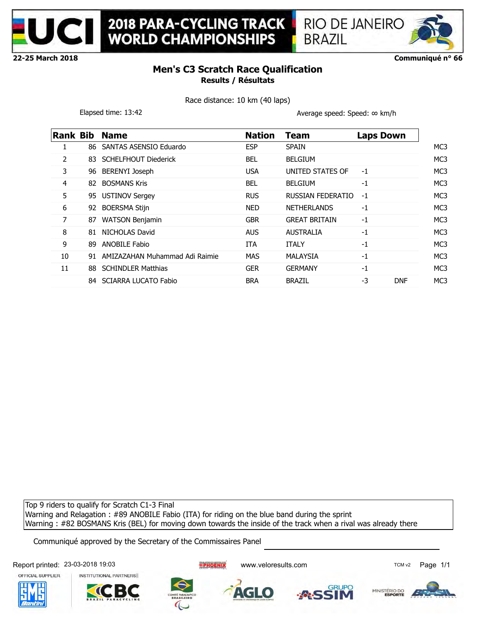



**Communiqué n° 66**

# **Men's C3 Scratch Race Qualification Results / Résultats**

Race distance: 10 km (40 laps)

Elapsed time: 13:42 Average speed: Speed: ∞ km/h

**BRAZIL** 

| Rank Bib |     | <b>Name</b>                    | <b>Nation</b> | Team                 | <b>Laps Down</b> |
|----------|-----|--------------------------------|---------------|----------------------|------------------|
| 1        | 86. | SANTAS ASENSIO Eduardo         | <b>ESP</b>    | <b>SPAIN</b>         |                  |
| 2        |     | 83 SCHELFHOUT Diederick        | <b>BEL</b>    | <b>BELGIUM</b>       |                  |
| 3        |     | 96 BERENYI Joseph              | <b>USA</b>    | UNITED STATES OF     | $-1$             |
| 4        | 82  | <b>BOSMANS Kris</b>            | <b>BEL</b>    | <b>BELGIUM</b>       | $-1$             |
| 5        |     | 95 USTINOV Sergey              | <b>RUS</b>    | RUSSIAN FEDERATIO    | $-1$             |
| 6        | 92  | <b>BOERSMA Stijn</b>           | NED           | <b>NETHERLANDS</b>   | $-1$             |
| 7        | 87  | <b>WATSON Benjamin</b>         | <b>GBR</b>    | <b>GREAT BRITAIN</b> | $-1$             |
| 8        | 81  | NICHOLAS David                 | AUS.          | <b>AUSTRALIA</b>     | $-1$             |
| 9        | 89  | <b>ANOBILE Fabio</b>           | <b>ITA</b>    | <b>ITALY</b>         | $-1$             |
| 10       | 91  | AMIZAZAHAN Muhammad Adi Raimie | <b>MAS</b>    | MALAYSIA             | $-1$             |
| 11       |     | 88 SCHINDLER Matthias          | <b>GER</b>    | <b>GERMANY</b>       | $-1$             |
|          | 84  | <b>SCIARRA LUCATO Fabio</b>    | <b>BRA</b>    | <b>BRAZIL</b>        | -3<br><b>DNF</b> |

Top 9 riders to qualify for Scratch C1-3 Final Warning and Relagation : #89 ANOBILE Fabio (ITA) for riding on the blue band during the sprint Warning : #82 BOSMANS Kris (BEL) for moving down towards the inside of the track when a rival was already there

Communiqué approved by the Secretary of the Commissaires Panel

Report printed: 23-03-2018 19:03 entitled: 23-03-2018 19:03



INSTITUTIONAL PARTNERS





AGLO



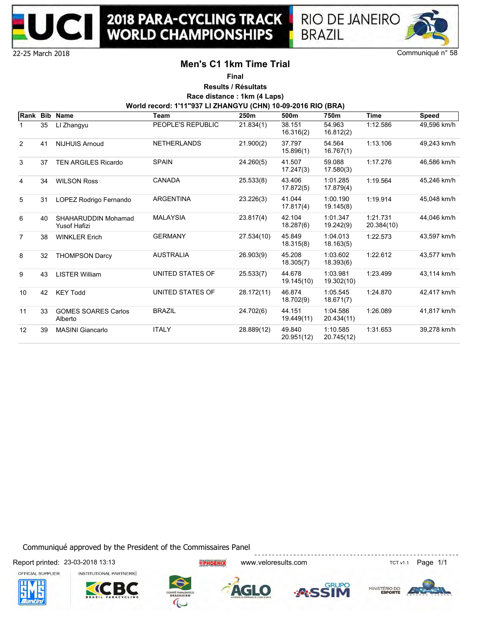



## **Men's C1 1km Time Trial**

**Final**

**Results / Résultats Race distance : 1km (4 Laps)**

**World record: 1'11"937 LI ZHANGYU (CHN) 10-09-2016 RIO (BRA)**

| Rank Bib          |    | <b>Name</b>                                       | Team               | 250m       | 500m                 | 750m                   | <b>Time</b>            | <b>Speed</b> |
|-------------------|----|---------------------------------------------------|--------------------|------------|----------------------|------------------------|------------------------|--------------|
|                   | 35 | LI Zhangyu                                        | PEOPLE'S REPUBLIC  | 21.834(1)  | 38.151<br>16.316(2)  | 54.963<br>16.812(2)    | 1:12.586               | 49,596 km/h  |
| 2                 | 41 | <b>NIJHUIS Arnoud</b>                             | <b>NETHERLANDS</b> | 21.900(2)  | 37.797<br>15.896(1)  | 54.564<br>16.767(1)    | 1:13.106               | 49,243 km/h  |
| 3                 | 37 | <b>TEN ARGILES Ricardo</b>                        | <b>SPAIN</b>       | 24.260(5)  | 41.507<br>17.247(3)  | 59.088<br>17.580(3)    | 1:17.276               | 46,586 km/h  |
| 4                 | 34 | <b>WILSON Ross</b>                                | <b>CANADA</b>      | 25.533(8)  | 43.406<br>17.872(5)  | 1:01.285<br>17.879(4)  | 1:19.564               | 45.246 km/h  |
| 5                 | 31 | LOPEZ Rodrigo Fernando                            | <b>ARGENTINA</b>   | 23.226(3)  | 41.044<br>17.817(4)  | 1:00.190<br>19.145(8)  | 1:19.914               | 45.048 km/h  |
| 6                 | 40 | <b>SHAHARUDDIN Mohamad</b><br><b>Yusof Hafizi</b> | <b>MALAYSIA</b>    | 23.817(4)  | 42.104<br>18.287(6)  | 1:01.347<br>19.242(9)  | 1:21.731<br>20.384(10) | 44,046 km/h  |
| $\overline{7}$    | 38 | <b>WINKLER Erich</b>                              | <b>GERMANY</b>     | 27.534(10) | 45.849<br>18.315(8)  | 1:04.013<br>18.163(5)  | 1:22.573               | 43,597 km/h  |
| 8                 | 32 | <b>THOMPSON Darcy</b>                             | <b>AUSTRALIA</b>   | 26.903(9)  | 45.208<br>18.305(7)  | 1:03.602<br>18.393(6)  | 1:22.612               | 43,577 km/h  |
| 9                 | 43 | <b>LISTER William</b>                             | UNITED STATES OF   | 25.533(7)  | 44.678<br>19.145(10) | 1:03.981<br>19.302(10) | 1:23.499               | 43,114 km/h  |
| 10                | 42 | <b>KEY Todd</b>                                   | UNITED STATES OF   | 28.172(11) | 46.874<br>18.702(9)  | 1:05.545<br>18.671(7)  | 1:24.870               | 42.417 km/h  |
| 11                | 33 | <b>GOMES SOARES Carlos</b><br>Alberto             | <b>BRAZIL</b>      | 24.702(6)  | 44.151<br>19.449(11) | 1:04.586<br>20.434(11) | 1:26.089               | 41,817 km/h  |
| $12 \overline{ }$ | 39 | <b>MASINI Giancarlo</b>                           | <b>ITALY</b>       | 28.889(12) | 49.840<br>20.951(12) | 1:10.585<br>20.745(12) | 1:31.653               | 39,278 km/h  |

Communiqué approved by the President of the Commissaires Panel

Report printed: 23-03-2018 13:13 THE THORNEY WWW.veloresults.com TCT v1.1 Page 1/1











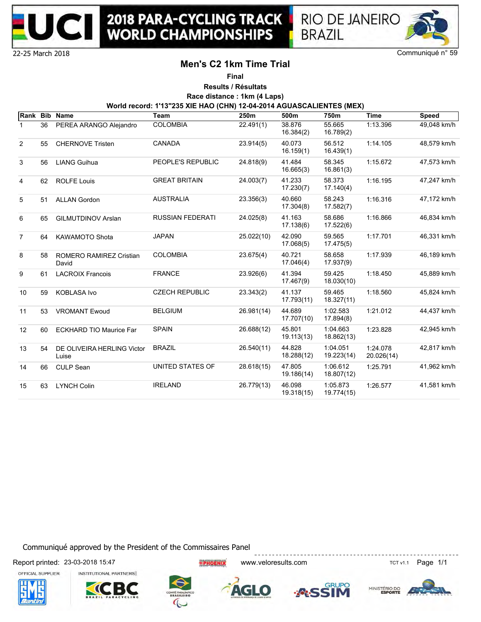



## **Men's C2 1km Time Trial**

**Final**

**Results / Résultats Race distance : 1km (4 Laps)**

**World record: 1'13"235 XIE HAO (CHN) 12-04-2014 AGUASCALIENTES (MEX)**

|                |    | Rank Bib Name                           | <b>Team</b>             | 250m       | 500m                 | 750m                   | <b>Time</b>            | <b>Speed</b>  |
|----------------|----|-----------------------------------------|-------------------------|------------|----------------------|------------------------|------------------------|---------------|
| 1.             | 36 | PEREA ARANGO Alejandro                  | <b>COLOMBIA</b>         | 22.491(1)  | 38.876<br>16.384(2)  | 55.665<br>16.789(2)    | 1:13.396               | $49,048$ km/h |
| 2              | 55 | <b>CHERNOVE Tristen</b>                 | <b>CANADA</b>           | 23.914(5)  | 40.073<br>16.159(1)  | 56.512<br>16.439(1)    | 1:14.105               | 48.579 km/h   |
| 3              | 56 | <b>LIANG Guihua</b>                     | PEOPLE'S REPUBLIC       | 24.818(9)  | 41.484<br>16.665(3)  | 58.345<br>16.861(3)    | 1:15.672               | 47,573 km/h   |
| 4              | 62 | <b>ROLFE Louis</b>                      | <b>GREAT BRITAIN</b>    | 24.003(7)  | 41.233<br>17.230(7)  | 58.373<br>17.140(4)    | 1:16.195               | 47,247 km/h   |
| 5              | 51 | <b>ALLAN Gordon</b>                     | <b>AUSTRALIA</b>        | 23.356(3)  | 40.660<br>17.304(8)  | 58.243<br>17.582(7)    | 1:16.316               | 47,172 km/h   |
| 6              | 65 | <b>GILMUTDINOV Arslan</b>               | <b>RUSSIAN FEDERATI</b> | 24.025(8)  | 41.163<br>17.138(6)  | 58.686<br>17.522(6)    | 1:16.866               | 46,834 km/h   |
| $\overline{7}$ | 64 | <b>KAWAMOTO Shota</b>                   | <b>JAPAN</b>            | 25.022(10) | 42.090<br>17.068(5)  | 59.565<br>17.475(5)    | 1:17.701               | 46,331 km/h   |
| 8              | 58 | <b>ROMERO RAMIREZ Cristian</b><br>David | <b>COLOMBIA</b>         | 23.675(4)  | 40.721<br>17.046(4)  | 58.658<br>17.937(9)    | 1:17.939               | 46,189 km/h   |
| 9              | 61 | <b>LACROIX Francois</b>                 | <b>FRANCE</b>           | 23.926(6)  | 41.394<br>17.467(9)  | 59.425<br>18.030(10)   | 1:18.450               | 45,889 km/h   |
| 10             | 59 | <b>KOBLASA Ivo</b>                      | <b>CZECH REPUBLIC</b>   | 23.343(2)  | 41.137<br>17.793(11) | 59.465<br>18.327(11)   | 1:18.560               | 45,824 km/h   |
| 11             | 53 | <b>VROMANT Ewoud</b>                    | <b>BELGIUM</b>          | 26.981(14) | 44.689<br>17.707(10) | 1:02.583<br>17.894(8)  | 1:21.012               | 44,437 km/h   |
| 12             | 60 | <b>ECKHARD TIO Maurice Far</b>          | <b>SPAIN</b>            | 26.688(12) | 45.801<br>19.113(13) | 1:04.663<br>18.862(13) | 1:23.828               | 42,945 km/h   |
| 13             | 54 | DE OLIVEIRA HERLING Victor<br>Luise     | <b>BRAZIL</b>           | 26.540(11) | 44.828<br>18.288(12) | 1:04.051<br>19.223(14) | 1:24.078<br>20.026(14) | 42,817 km/h   |
| 14             | 66 | <b>CULP Sean</b>                        | UNITED STATES OF        | 28.618(15) | 47.805<br>19.186(14) | 1:06.612<br>18.807(12) | 1:25.791               | 41,962 km/h   |
| 15             | 63 | <b>LYNCH Colin</b>                      | <b>IRELAND</b>          | 26.779(13) | 46.098<br>19.318(15) | 1:05.873<br>19.774(15) | 1:26.577               | 41,581 km/h   |

Communiqué approved by the President of the Commissaires Panel

Report printed: 23-03-2018 15:47 **EXECT REPORT AT A REPORT WWW.Veloresults.com** TCT v1.1 Page 1/1











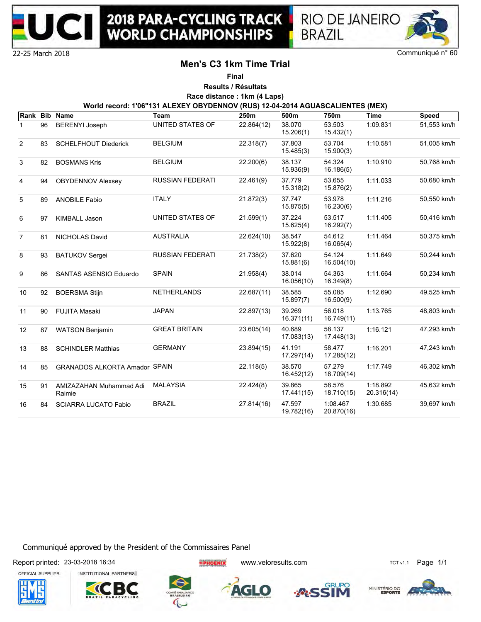



**BRAZIL** 

Communiqué n° 60

## **Men's C3 1km Time Trial**

**Final**

**Results / Résultats Race distance : 1km (4 Laps)**

**World record: 1'06"131 ALEXEY OBYDENNOV (RUS) 12-04-2014 AGUASCALIENTES (MEX)**

| Rank Bib       |    | <b>Name</b>                          | Team                    | 250m       | 500m                 | 750m                   | <b>Time</b>            | <b>Speed</b> |
|----------------|----|--------------------------------------|-------------------------|------------|----------------------|------------------------|------------------------|--------------|
| $\mathbf 1$    | 96 | <b>BERENYI Joseph</b>                | UNITED STATES OF        | 22.864(12) | 38.070<br>15.206(1)  | 53.503<br>15.432(1)    | 1:09.831               | 51,553 km/h  |
| 2              | 83 | <b>SCHELFHOUT Diederick</b>          | <b>BELGIUM</b>          | 22.318(7)  | 37.803<br>15.485(3)  | 53.704<br>15.900(3)    | 1:10.581               | 51,005 km/h  |
| 3              | 82 | <b>BOSMANS Kris</b>                  | <b>BELGIUM</b>          | 22.200(6)  | 38.137<br>15.936(9)  | 54.324<br>16.186(5)    | 1:10.910               | 50,768 km/h  |
| 4              | 94 | <b>OBYDENNOV Alexsey</b>             | <b>RUSSIAN FEDERATI</b> | 22.461(9)  | 37.779<br>15.318(2)  | 53.655<br>15.876(2)    | 1:11.033               | 50,680 km/h  |
| 5              | 89 | <b>ANOBILE Fabio</b>                 | <b>ITALY</b>            | 21.872(3)  | 37.747<br>15.875(5)  | 53.978<br>16.230(6)    | 1:11.216               | 50,550 km/h  |
| 6              | 97 | <b>KIMBALL Jason</b>                 | UNITED STATES OF        | 21.599(1)  | 37.224<br>15.625(4)  | 53.517<br>16.292(7)    | 1:11.405               | 50,416 km/h  |
| $\overline{7}$ | 81 | NICHOLAS David                       | <b>AUSTRALIA</b>        | 22.624(10) | 38.547<br>15.922(8)  | 54.612<br>16.065(4)    | 1:11.464               | 50,375 km/h  |
| 8              | 93 | <b>BATUKOV Sergei</b>                | <b>RUSSIAN FEDERATI</b> | 21.738(2)  | 37.620<br>15.881(6)  | 54.124<br>16.504(10)   | 1:11.649               | 50,244 km/h  |
| 9              | 86 | <b>SANTAS ASENSIO Eduardo</b>        | <b>SPAIN</b>            | 21.958(4)  | 38.014<br>16.056(10) | 54.363<br>16.349(8)    | 1:11.664               | 50,234 km/h  |
| 10             | 92 | <b>BOERSMA Stijn</b>                 | <b>NETHERLANDS</b>      | 22.687(11) | 38.585<br>15.897(7)  | 55.085<br>16.500(9)    | 1:12.690               | 49,525 km/h  |
| 11             | 90 | <b>FUJITA Masaki</b>                 | <b>JAPAN</b>            | 22.897(13) | 39.269<br>16.371(11) | 56.018<br>16.749(11)   | 1:13.765               | 48,803 km/h  |
| 12             | 87 | <b>WATSON Benjamin</b>               | <b>GREAT BRITAIN</b>    | 23.605(14) | 40.689<br>17.083(13) | 58.137<br>17.448(13)   | 1:16.121               | 47.293 km/h  |
| 13             | 88 | <b>SCHINDLER Matthias</b>            | <b>GERMANY</b>          | 23.894(15) | 41.191<br>17.297(14) | 58.477<br>17.285(12)   | 1:16.201               | 47,243 km/h  |
| 14             | 85 | <b>GRANADOS ALKORTA Amador SPAIN</b> |                         | 22.118(5)  | 38.570<br>16.452(12) | 57.279<br>18.709(14)   | 1:17.749               | 46.302 km/h  |
| 15             | 91 | AMIZAZAHAN Muhammad Adi<br>Raimie    | <b>MALAYSIA</b>         | 22.424(8)  | 39.865<br>17.441(15) | 58.576<br>18.710(15)   | 1:18.892<br>20.316(14) | 45,632 km/h  |
| 16             | 84 | <b>SCIARRA LUCATO Fabio</b>          | <b>BRAZIL</b>           | 27.814(16) | 47.597<br>19.782(16) | 1:08.467<br>20.870(16) | 1:30.685               | 39,697 km/h  |

Communiqué approved by the President of the Commissaires Panel

Report printed: 23-03-2018 16:34 CHA CHA CHARA WWW.veloresults.com CHA CHA TCT v1.1 Page 1/1



INSTITUTIONAL PARTNERS





AGLO





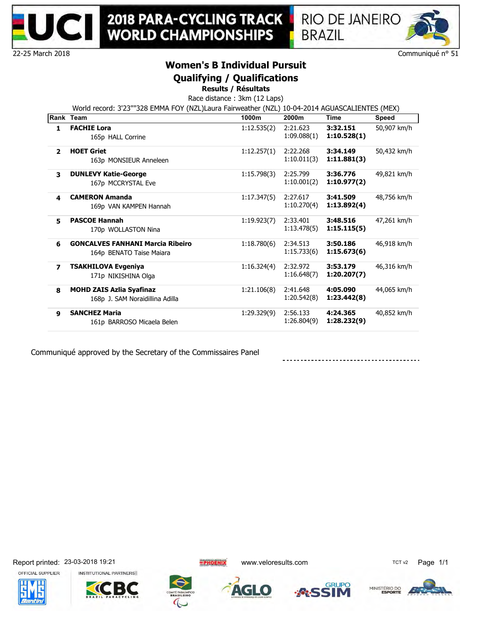



22-25 March 2018

# **Women's B Individual Pursuit**

## **Qualifying / Qualifications**

**Results / Résultats**

Race distance : 3km (12 Laps) World record: 3'23""328 EMMA FOY (NZL)Laura Fairweather (NZL) 10-04-2014 AGUASCALIENTES (MEX)

|                          | $\frac{1}{2}$ . The state of the state $\frac{1}{2}$ is the state of $\frac{1}{2}$ . The state of the state $\frac{1}{2}$ is the state of $\frac{1}{2}$<br>Rank Team | 1000m       | 2000m                   | Time                    | Speed       |
|--------------------------|----------------------------------------------------------------------------------------------------------------------------------------------------------------------|-------------|-------------------------|-------------------------|-------------|
| 1                        | <b>FACHIE Lora</b><br>165p HALL Corrine                                                                                                                              | 1:12.535(2) | 2:21.623<br>1:09.088(1) | 3:32.151<br>1:10.528(1) | 50,907 km/h |
| $\overline{2}$           | <b>HOET Griet</b><br>163p MONSIEUR Anneleen                                                                                                                          | 1:12.257(1) | 2:22.268<br>1:10.011(3) | 3:34.149<br>1:11.881(3) | 50,432 km/h |
| 3                        | <b>DUNLEVY Katie-George</b><br>167p MCCRYSTAL Eve                                                                                                                    | 1:15.798(3) | 2:25.799<br>1:10.001(2) | 3:36.776<br>1:10.977(2) | 49,821 km/h |
| 4                        | <b>CAMERON Amanda</b><br>169p VAN KAMPEN Hannah                                                                                                                      | 1:17.347(5) | 2:27.617<br>1:10.270(4) | 3:41.509<br>1:13.892(4) | 48,756 km/h |
| 5.                       | <b>PASCOE Hannah</b><br>170p WOLLASTON Nina                                                                                                                          | 1:19.923(7) | 2:33.401<br>1:13.478(5) | 3:48.516<br>1:15.115(5) | 47,261 km/h |
| 6                        | <b>GONCALVES FANHANI Marcia Ribeiro</b><br>164p BENATO Taise Maiara                                                                                                  | 1:18.780(6) | 2:34.513<br>1:15.733(6) | 3:50.186<br>1:15.673(6) | 46,918 km/h |
| $\overline{\phantom{a}}$ | <b>TSAKHILOVA Evgeniya</b><br>171p NIKISHINA Olga                                                                                                                    | 1:16.324(4) | 2:32.972<br>1:16.648(7) | 3:53.179<br>1:20.207(7) | 46,316 km/h |
| 8                        | <b>MOHD ZAIS Azlia Syafinaz</b><br>168p J. SAM Noraidillina Adilla                                                                                                   | 1:21.106(8) | 2:41.648<br>1:20.542(8) | 4:05.090<br>1:23.442(8) | 44,065 km/h |
| 9                        | <b>SANCHEZ Maria</b><br>161p BARROSO Micaela Belen                                                                                                                   | 1:29.329(9) | 2:56.133<br>1:26.804(9) | 4:24.365<br>1:28.232(9) | 40,852 km/h |

Communiqué approved by the Secretary of the Commissaires Panel

OFFICIAL SUPPLIER













MINISTÉRIO DO

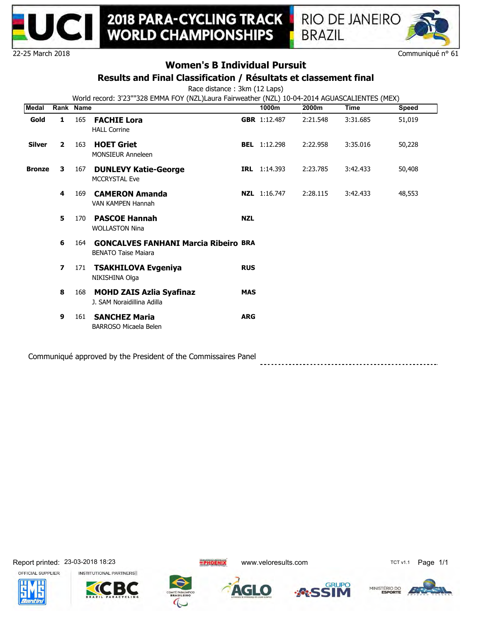



Communiqué n° 61

# **Women's B Individual Pursuit**

### **Results and Final Classification / Résultats et classement final**

Race distance : 3km (12 Laps)

World record: 3'23""328 EMMA FOY (NZL)Laura Fairweather (NZL) 10-04-2014 AGUASCALIENTES (MEX)

| <b>Medal</b>  | Rank Name      |     |                                                                           |            | 1000m               | 2000m    | <b>Time</b> | Speed  |
|---------------|----------------|-----|---------------------------------------------------------------------------|------------|---------------------|----------|-------------|--------|
| Gold          | $\mathbf{1}$   | 165 | <b>FACHIE Lora</b><br><b>HALL Corrine</b>                                 |            | <b>GBR</b> 1:12.487 | 2:21.548 | 3:31.685    | 51,019 |
| <b>Silver</b> | $\overline{2}$ | 163 | <b>HOET Griet</b><br><b>MONSIEUR Anneleen</b>                             |            | <b>BEL</b> 1:12.298 | 2:22.958 | 3:35.016    | 50,228 |
| <b>Bronze</b> | 3              | 167 | <b>DUNLEVY Katie-George</b><br><b>MCCRYSTAL Eve</b>                       |            | <b>IRL</b> 1:14.393 | 2:23.785 | 3:42.433    | 50,408 |
|               | 4              | 169 | <b>CAMERON Amanda</b><br>VAN KAMPEN Hannah                                |            | <b>NZL</b> 1:16.747 | 2:28.115 | 3:42.433    | 48,553 |
|               | 5              | 170 | <b>PASCOE Hannah</b><br><b>WOLLASTON Nina</b>                             | <b>NZL</b> |                     |          |             |        |
|               | 6              | 164 | <b>GONCALVES FANHANI Marcia Ribeiro BRA</b><br><b>BENATO Taise Majara</b> |            |                     |          |             |        |
|               | $\overline{ }$ | 171 | <b>TSAKHILOVA Evgeniya</b><br>NIKISHINA Olga                              | <b>RUS</b> |                     |          |             |        |
|               | 8              | 168 | <b>MOHD ZAIS Azlia Syafinaz</b><br>J. SAM Noraidillina Adilla             | <b>MAS</b> |                     |          |             |        |
|               | 9              | 161 | <b>SANCHEZ Maria</b><br><b>BARROSO Micaela Belen</b>                      | <b>ARG</b> |                     |          |             |        |
|               |                |     | Campauniau é annuau de la Hea Duaident of the Campaignaire Danal          |            |                     |          |             |        |

Communiqué approved by the President of the Commissaires Panel









 $\bullet$ 

TCT



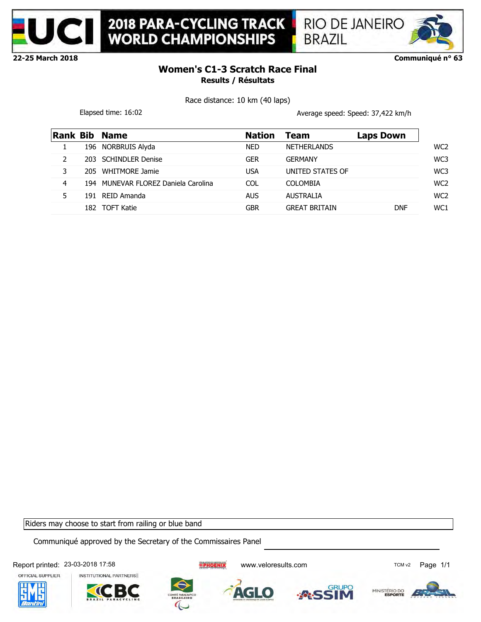

**2018 PARA-CYCLING TRACK<br>WORLD CHAMPIONSHIPS** 



**22-25 March 2018**

### **Communiqué n° 63**

## **Women's C1-3 Scratch Race Final Results / Résultats**

Race distance: 10 km (40 laps)

Elapsed time: 16:02 and the set of the set of the set of the Average speed: Speed: 37,422 km/h

| <b>Rank Bib</b> |      | <b>Name</b>                         | <b>Nation</b> | Team                 | <b>Laps Down</b> |
|-----------------|------|-------------------------------------|---------------|----------------------|------------------|
|                 |      | 196 NORBRUIS Alyda                  | <b>NED</b>    | <b>NETHERLANDS</b>   |                  |
|                 |      | 203 SCHINDLER Denise                | GER           | <b>GERMANY</b>       |                  |
| 3               |      | 205 WHITMORE Jamie                  | USA           | UNITED STATES OF     |                  |
| 4               |      | 194 MUNEVAR FLOREZ Daniela Carolina | COL           | <b>COLOMBIA</b>      |                  |
| 5               | 191  | REID Amanda                         | <b>AUS</b>    | <b>AUSTRALIA</b>     |                  |
|                 | 182. | TOFT Katie                          | GBR           | <b>GREAT BRITAIN</b> | <b>DNF</b>       |

Riders may choose to start from railing or blue band

Communiqué approved by the Secretary of the Commissaires Panel

Report printed: 23-03-2018 17:58 COMPART TELECTIVE TRICK WWW.veloresults.com COMPART TCM v2 Page 1/1 OFFICIAL SUPPLIER INSTITUTIONAL PARTNERS **RUPO** MINISTÉRIO DO AGLO



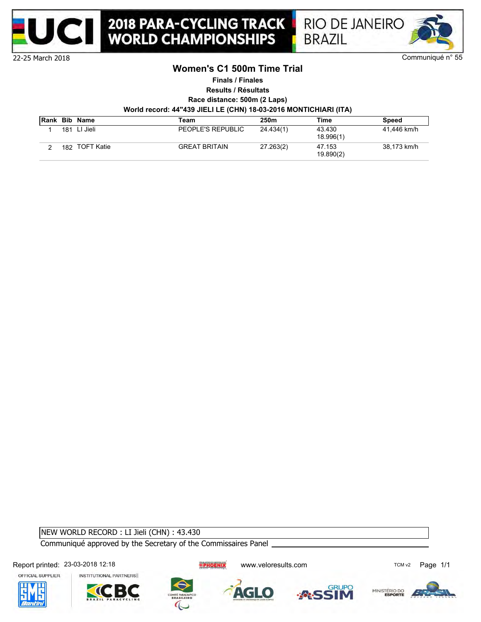



### **Women's C1 500m Time Trial**

**Finals / Finales**

**Results / Résultats**

**Race distance: 500m (2 Laps)**

**World record: 44"439 JIELI LE (CHN) 18-03-2016 MONTICHIARI (ITA)**

|     | <b>Rank Bib Name</b> | Team                 | 250m      | Time                | Speed       |
|-----|----------------------|----------------------|-----------|---------------------|-------------|
| 181 | LI Jieli             | PEOPLE'S REPUBLIC    | 24.434(1) | 43.430<br>18.996(1) | 41.446 km/h |
|     | 182 TOFT Katie       | <b>GREAT BRITAIN</b> | 27.263(2) | 47.153<br>19.890(2) | 38.173 km/h |

NEW WORLD RECORD : LI Jieli (CHN) : 43.430

Communiqué approved by the Secretary of the Commissaires Panel

Report printed: 23-03-2018 12:18 COMPARTY TELECTRIC WWW.veloresults.com COMPARTY TELECTRIC Page 1/1











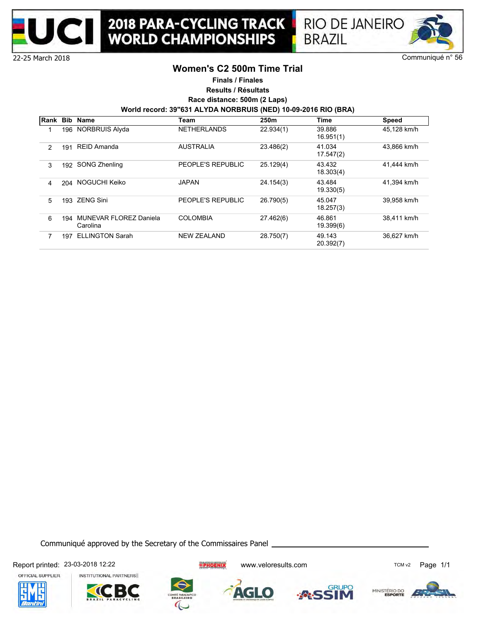



22-25 March 2018

### **Women's C2 500m Time Trial**

**Finals / Finales**

**Results / Résultats**

**Race distance: 500m (2 Laps)**

**World record: 39"631 ALYDA NORBRUIS (NED) 10-09-2016 RIO (BRA)**

| Rank           | <b>Bib</b> | Name                                      | Team               | 250m      | Time                | <b>Speed</b> |
|----------------|------------|-------------------------------------------|--------------------|-----------|---------------------|--------------|
|                | 196        | NORBRUIS Alyda                            | <b>NETHERLANDS</b> | 22.934(1) | 39.886<br>16.951(1) | 45.128 km/h  |
| $\overline{2}$ | 191        | REID Amanda                               | <b>AUSTRALIA</b>   | 23.486(2) | 41.034<br>17.547(2) | 43.866 km/h  |
| 3              | 192        | <b>SONG Zhenling</b>                      | PEOPLE'S REPUBLIC  | 25.129(4) | 43.432<br>18.303(4) | 41.444 km/h  |
| 4              | 204        | NOGUCHI Keiko                             | <b>JAPAN</b>       | 24.154(3) | 43.484<br>19.330(5) | 41.394 km/h  |
| 5              | 193        | <b>ZENG Sini</b>                          | PEOPLE'S REPUBLIC  | 26.790(5) | 45.047<br>18.257(3) | 39,958 km/h  |
| 6              | 194        | <b>MUNEVAR FLOREZ Daniela</b><br>Carolina | <b>COLOMBIA</b>    | 27.462(6) | 46.861<br>19.399(6) | 38.411 km/h  |
|                | 197        | <b>ELLINGTON Sarah</b>                    | <b>NEW ZEALAND</b> | 28.750(7) | 49.143<br>20.392(7) | 36.627 km/h  |

Communiqué approved by the Secretary of the Commissaires Panel

Report printed: 23-03-2018 12:22 example and the setting of the setting www.veloresults.com TCM v2 Page 1/1

OFFICIAL SUPPLIER







AGLO





**RUPO**